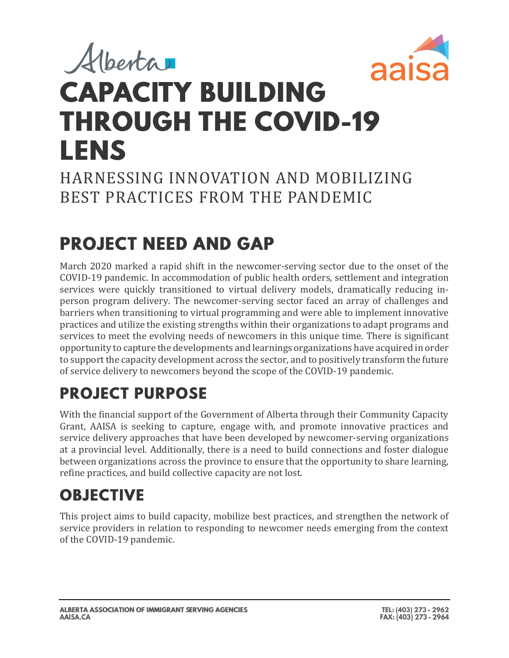# Alberta aais **CAPACITY BUILDING THROUGH THE COVID-19 LENS**

#### HARNESSING INNOVATION AND MOBILIZING BEST PRACTICES FROM THE PANDEMIC

# **PROJECT NEED AND GAP**

March 2020 marked a rapid shift in the newcomer-serving sector due to the onset of the COVID-19 pandemic. In accommodation of public health orders, settlement and integration services were quickly transitioned to virtual delivery models, dramatically reducing inperson program delivery. The newcomer-serving sector faced an array of challenges and barriers when transitioning to virtual programming and were able to implement innovative practices and utilize the existing strengths within their organizations to adapt programs and services to meet the evolving needs of newcomers in this unique time. There is significant opportunity to capture the developments and learnings organizations have acquired in order to support the capacity development across the sector, and to positively transform the future of service delivery to newcomers beyond the scope of the COVID-19 pandemic.

# **PROJECT PURPOSE**

With the financial support of the Government of Alberta through their Community Capacity Grant, AAISA is seeking to capture, engage with, and promote innovative practices and service delivery approaches that have been developed by newcomer-serving organizations at a provincial level. Additionally, there is a need to build connections and foster dialogue between organizations across the province to ensure that the opportunity to share learning, refine practices, and build collective capacity are not lost.

## **OBJECTIVE**

This project aims to build capacity, mobilize best practices, and strengthen the network of service providers in relation to responding to newcomer needs emerging from the context of the COVID-19 pandemic.